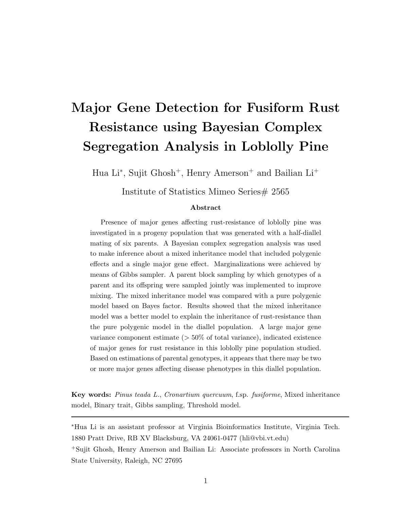# **Major Gene Detection for Fusiform Rust Resistance using Bayesian Complex Segregation Analysis in Loblolly Pine**

Hua Li∗, Sujit Ghosh<sup>+</sup>, Henry Amerson<sup>+</sup> and Bailian Li<sup>+</sup>

Institute of Statistics Mimeo Series# 2565

#### **Abstract**

Presence of major genes affecting rust-resistance of loblolly pine was investigated in a progeny population that was generated with a half-diallel mating of six parents. A Bayesian complex segregation analysis was used to make inference about a mixed inheritance model that included polygenic effects and a single major gene effect. Marginalizations were achieved by means of Gibbs sampler. A parent block sampling by which genotypes of a parent and its offspring were sampled jointly was implemented to improve mixing. The mixed inheritance model was compared with a pure polygenic model based on Bayes factor. Results showed that the mixed inheritance model was a better model to explain the inheritance of rust-resistance than the pure polygenic model in the diallel population. A large major gene variance component estimate (*>* 50% of total variance), indicated existence of major genes for rust resistance in this loblolly pine population studied. Based on estimations of parental genotypes, it appears that there may be two or more major genes affecting disease phenotypes in this diallel population.

**Key words:** *Pinus teada L.*, *Cronartium quercuum*, f.sp. *fusiforme*, Mixed inheritance model, Binary trait, Gibbs sampling, Threshold model.

∗Hua Li is an assistant professor at Virginia Bioinformatics Institute, Virginia Tech. 1880 Pratt Drive, RB XV Blacksburg, VA 24061-0477 (hli@vbi.vt.edu) <sup>+</sup>Sujit Ghosh, Henry Amerson and Bailian Li: Associate professors in North Carolina State University, Raleigh, NC 27695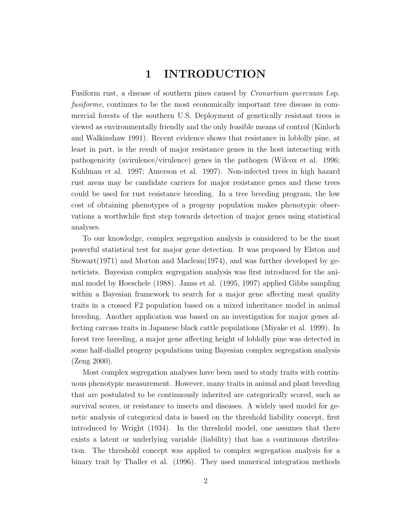## **1 INTRODUCTION**

Fusiform rust, a disease of southern pines caused by Cronartium quercuum f.sp. fusiforme, continues to be the most economically important tree disease in commercial forests of the southern U.S. Deployment of genetically resistant trees is viewed as environmentally friendly and the only feasible means of control (Kinloch and Walkinshaw 1991). Recent evidence shows that resistance in loblolly pine, at least in part, is the result of major resistance genes in the host interacting with pathogenicity (avirulence/virulence) genes in the pathogen (Wilcox et al. 1996; Kuhlman et al. 1997; Amerson et al. 1997). Non-infected trees in high hazard rust areas may be candidate carriers for major resistance genes and these trees could be used for rust resistance breeding. In a tree breeding program, the low cost of obtaining phenotypes of a progeny population makes phenotypic observations a worthwhile first step towards detection of major genes using statistical analyses.

To our knowledge, complex segregation analysis is considered to be the most powerful statistical test for major gene detection. It was proposed by Elston and Stewart(1971) and Morton and Maclean(1974), and was further developed by geneticists. Bayesian complex segregation analysis was first introduced for the animal model by Hoeschele (1988). Janss et al. (1995, 1997) applied Gibbs sampling within a Bayesian framework to search for a major gene affecting meat quality traits in a crossed F2 population based on a mixed inheritance model in animal breeding. Another application was based on an investigation for major genes affecting carcass traits in Japanese black cattle populations (Miyake et al. 1999). In forest tree breeding, a major gene affecting height of loblolly pine was detected in some half-diallel progeny populations using Bayesian complex segregation analysis (Zeng 2000).

Most complex segregation analyses have been used to study traits with continuous phenotypic measurement. However, many traits in animal and plant breeding that are postulated to be continuously inherited are categorically scored, such as survival scores, or resistance to insects and diseases. A widely used model for genetic analysis of categorical data is based on the threshold liability concept, first introduced by Wright (1934). In the threshold model, one assumes that there exists a latent or underlying variable (liability) that has a continuous distribution. The threshold concept was applied to complex segregation analysis for a binary trait by Thaller et al. (1996). They used numerical integration methods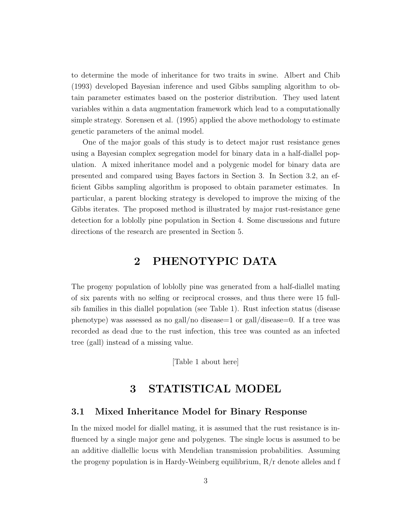to determine the mode of inheritance for two traits in swine. Albert and Chib (1993) developed Bayesian inference and used Gibbs sampling algorithm to obtain parameter estimates based on the posterior distribution. They used latent variables within a data augmentation framework which lead to a computationally simple strategy. Sorensen et al. (1995) applied the above methodology to estimate genetic parameters of the animal model.

One of the major goals of this study is to detect major rust resistance genes using a Bayesian complex segregation model for binary data in a half-diallel population. A mixed inheritance model and a polygenic model for binary data are presented and compared using Bayes factors in Section 3. In Section 3.2, an efficient Gibbs sampling algorithm is proposed to obtain parameter estimates. In particular, a parent blocking strategy is developed to improve the mixing of the Gibbs iterates. The proposed method is illustrated by major rust-resistance gene detection for a loblolly pine population in Section 4. Some discussions and future directions of the research are presented in Section 5.

## **2 PHENOTYPIC DATA**

The progeny population of loblolly pine was generated from a half-diallel mating of six parents with no selfing or reciprocal crosses, and thus there were 15 fullsib families in this diallel population (see Table 1). Rust infection status (disease phenotype) was assessed as no gall/no disease=1 or gall/disease=0. If a tree was recorded as dead due to the rust infection, this tree was counted as an infected tree (gall) instead of a missing value.

[Table 1 about here]

## **3 STATISTICAL MODEL**

#### **3.1 Mixed Inheritance Model for Binary Response**

In the mixed model for diallel mating, it is assumed that the rust resistance is influenced by a single major gene and polygenes. The single locus is assumed to be an additive diallellic locus with Mendelian transmission probabilities. Assuming the progeny population is in Hardy-Weinberg equilibrium, R/r denote alleles and f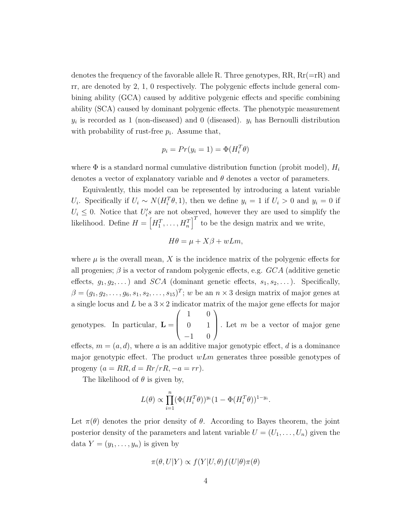denotes the frequency of the favorable allele R. Three genotypes,  $RR$ ,  $Rr(=rR)$  and rr, are denoted by 2, 1, 0 respectively. The polygenic effects include general combining ability (GCA) caused by additive polygenic effects and specific combining ability (SCA) caused by dominant polygenic effects. The phenotypic measurement  $y_i$  is recorded as 1 (non-diseased) and 0 (diseased).  $y_i$  has Bernoulli distribution with probability of rust-free  $p_i$ . Assume that,

$$
p_i = Pr(y_i = 1) = \Phi(H_i^T \theta)
$$

where  $\Phi$  is a standard normal cumulative distribution function (probit model),  $H_i$ denotes a vector of explanatory variable and  $\theta$  denotes a vector of parameters.

Equivalently, this model can be represented by introducing a latent variable U<sub>i</sub>. Specifically if  $U_i \sim N(H_i^T \theta, 1)$ , then we define  $y_i = 1$  if  $U_i > 0$  and  $y_i = 0$  if  $U_i \leq 0$ . Notice that  $U_i$ 's are not observed, however they are used to simplify the likelihood. Define  $H = \left[H_1^T, \ldots, H_n^T\right]^T$  to be the design matrix and we write,

$$
H\theta = \mu + X\beta + wLm,
$$

where  $\mu$  is the overall mean, X is the incidence matrix of the polygenic effects for all progenies;  $\beta$  is a vector of random polygenic effects, e.g.  $GCA$  (additive genetic effects,  $g_1, g_2,...$ ) and SCA (dominant genetic effects,  $s_1, s_2,...$ ). Specifically,  $\beta = (g_1, g_2, \ldots, g_6, s_1, s_2, \ldots, s_{15})^T$ ; w be an  $n \times 3$  design matrix of major genes at a single locus and  $L$  be a  $3 \times 2$  indicator matrix of the major gene effects for major

genotypes. In particular,  $\mathbf{L} =$  $\sqrt{2}$  $\overline{\mathcal{N}}$ 1 0 0 1  $-1$  0 ⎞ Let  $m$  be a vector of major gene

effects,  $m = (a, d)$ , where a is an additive major genotypic effect, d is a dominance major genotypic effect. The product  $wLm$  generates three possible genotypes of progeny  $(a = RR, d = Rr/rR, -a = rr)$ .

The likelihood of  $\theta$  is given by,

$$
L(\theta) \propto \prod_{i=1}^n (\Phi(H_i^T \theta))^{y_i} (1 - \Phi(H_i^T \theta))^{1 - y_i}.
$$

Let  $\pi(\theta)$  denotes the prior density of  $\theta$ . According to Bayes theorem, the joint posterior density of the parameters and latent variable  $U = (U_1, \ldots, U_n)$  given the data  $Y = (y_1, \ldots, y_n)$  is given by

$$
\pi(\theta, U|Y) \propto f(Y|U, \theta) f(U|\theta) \pi(\theta)
$$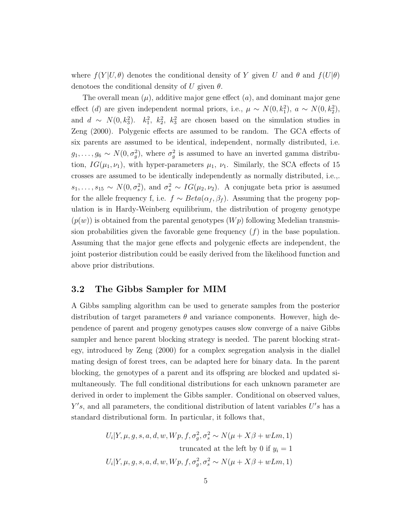where  $f(Y|U, \theta)$  denotes the conditional density of Y given U and  $\theta$  and  $f(U|\theta)$ denotoes the conditional density of U given  $\theta$ .

The overall mean  $(\mu)$ , additive major gene effect  $(a)$ , and dominant major gene effect (d) are given independent normal priors, i.e.,  $\mu \sim N(0, k_1^2)$ ,  $a \sim N(0, k_2^2)$ , and  $d \sim N(0, k_3^2)$ .  $k_1^2$ ,  $k_2^2$ ,  $k_3^2$  are chosen based on the simulation studies in Zeng (2000). Polygenic effects are assumed to be random. The GCA effects of six parents are assumed to be identical, independent, normally distributed, i.e.  $g_1, \ldots, g_6 \sim N(0, \sigma_g^2)$ , where  $\sigma_g^2$  is assumed to have an inverted gamma distribution,  $IG(\mu_1, \nu_1)$ , with hyper-parameters  $\mu_1$ ,  $\nu_1$ . Similarly, the SCA effects of 15 crosses are assumed to be identically independently as normally distributed, i.e.,.  $s_1, \ldots, s_{15} \sim N(0, \sigma_s^2)$ , and  $\sigma_s^2 \sim IG(\mu_2, \nu_2)$ . A conjugate beta prior is assumed for the allele frequency f, i.e.  $f \sim Beta(\alpha_f, \beta_f)$ . Assuming that the progeny population is in Hardy-Weinberg equilibrium, the distribution of progeny genotype  $(p(w))$  is obtained from the parental genotypes  $(Wp)$  following Medelian transmission probabilities given the favorable gene frequency  $(f)$  in the base population. Assuming that the major gene effects and polygenic effects are independent, the joint posterior distribution could be easily derived from the likelihood function and above prior distributions.

#### **3.2 The Gibbs Sampler for MIM**

A Gibbs sampling algorithm can be used to generate samples from the posterior distribution of target parameters  $\theta$  and variance components. However, high dependence of parent and progeny genotypes causes slow converge of a naive Gibbs sampler and hence parent blocking strategy is needed. The parent blocking strategy, introduced by Zeng (2000) for a complex segregation analysis in the diallel mating design of forest trees, can be adapted here for binary data. In the parent blocking, the genotypes of a parent and its offspring are blocked and updated simultaneously. The full conditional distributions for each unknown parameter are derived in order to implement the Gibbs sampler. Conditional on observed values,  $Y's$ , and all parameters, the conditional distribution of latent variables  $U's$  has a standard distributional form. In particular, it follows that,

$$
U_i|Y, \mu, g, s, a, d, w, Wp, f, \sigma_g^2, \sigma_s^2 \sim N(\mu + X\beta + wLm, 1)
$$
  
truncated at the left by 0 if  $y_i = 1$   

$$
U_i|Y, \mu, g, s, a, d, w, Wp, f, \sigma_g^2, \sigma_s^2 \sim N(\mu + X\beta + wLm, 1)
$$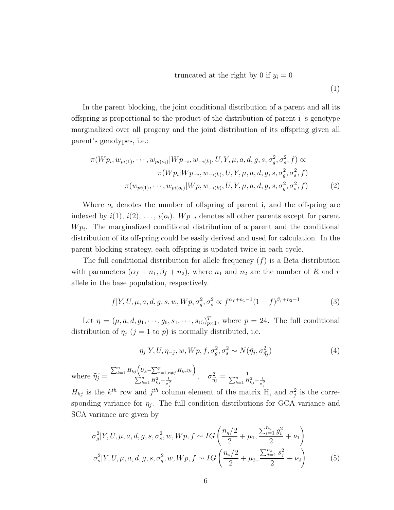truncated at the right by 0 if 
$$
y_i = 0
$$
 (1)

In the parent blocking, the joint conditional distribution of a parent and all its offspring is proportional to the product of the distribution of parent i 's genotype marginalized over all progeny and the joint distribution of its offspring given all parent's genotypes, i.e.:

$$
\pi(Wp_i, w_{pi(1)}, \cdots, w_{pi(o_i)} | Wp_{-i}, w_{-i(k)}, U, Y, \mu, a, d, g, s, \sigma_g^2, \sigma_s^2, f) \propto
$$
  

$$
\pi(Wp_i | Wp_{-i}, w_{-i(k)}, U, Y, \mu, a, d, g, s, \sigma_g^2, \sigma_s^2, f)
$$
  

$$
\pi(w_{pi(1)}, \cdots, w_{pi(o_i)} | Wp, w_{-i(k)}, U, Y, \mu, a, d, g, s, \sigma_g^2, \sigma_s^2, f)
$$
 (2)

Where  $o_i$  denotes the number of offspring of parent i, and the offspring are indexed by  $i(1), i(2), \ldots, i(o_i)$ . W  $p_{-i}$  denotes all other parents except for parent  $W p_i$ . The marginalized conditional distribution of a parent and the conditional distribution of its offspring could be easily derived and used for calculation. In the parent blocking strategy, each offspring is updated twice in each cycle.

The full conditional distribution for allele frequency  $(f)$  is a Beta distribution with parameters  $(\alpha_f + n_1, \beta_f + n_2)$ , where  $n_1$  and  $n_2$  are the number of R and r allele in the base population, respectively.

$$
f|Y, U, \mu, a, d, g, s, w, Wp, \sigma_g^2, \sigma_s^2 \propto f^{\alpha_f + n_1 - 1} (1 - f)^{\beta_f + n_2 - 1}
$$
 (3)

Let  $\eta = (\mu, a, d, g_1, \dots, g_6, s_1, \dots, s_{15})_{p \times 1}^T$ , where  $p = 24$ . The full conditional distribution of  $\eta_j$  (j = 1 to p) is normally distributed, i.e.

$$
\eta_j|Y, U, \eta_{-j}, w, Wp, f, \sigma_g^2, \sigma_s^2 \sim N(\tilde{\eta}_j, \sigma_{\tilde{\eta}_j}^2)
$$
\n
$$
\tag{4}
$$

where  $\widetilde{\eta_j} =$  $\sum_{k=1}^{n} H_{kj} \left( U_k - \sum_{r=1, r \neq j}^{p} H_{kr} \eta_r \right)$  $\sum_{k=1}^{n} H_{kj}^2 + \frac{1}{\sigma_j^2}$  $,\quad \sigma_{\widetilde{\eta}_j}^2 = \frac{1}{\sum_{k=1}^n H}$  $\sum_{k=1}^{n} H_{kj}^2 + \frac{1}{\sigma_j^2}$ .

 $H_{kj}$  is the  $k^{th}$  row and  $j^{th}$  column element of the matrix H, and  $\sigma_j^2$  is the corresponding variance for  $\eta_j$ . The full condition distributions for GCA variance and SCA variance are given by

$$
\sigma_g^2 | Y, U, \mu, a, d, g, s, \sigma_s^2, w, Wp, f \sim IG\left(\frac{n_g/2}{2} + \mu_1, \frac{\sum_{i=1}^{n_g} g_i^2}{2} + \nu_1\right)
$$
  

$$
\sigma_s^2 | Y, U, \mu, a, d, g, s, \sigma_g^2, w, Wp, f \sim IG\left(\frac{n_s/2}{2} + \mu_2, \frac{\sum_{j=1}^{n_s} s_j^2}{2} + \nu_2\right)
$$
 (5)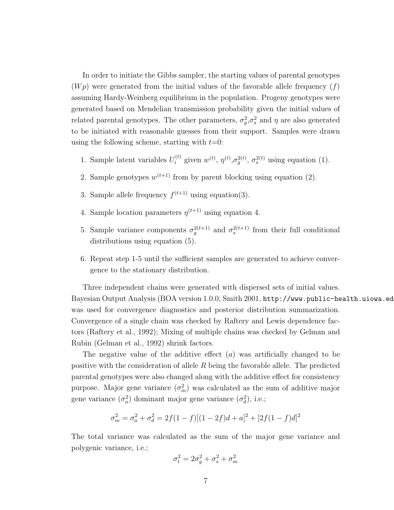In order to initiate the Gibbs sampler, the starting values of parental genotypes  $(Wp)$  were generated from the initial values of the favorable allele frequency  $(f)$ assuming Hardy-Weinberg equilibrium in the population. Progeny genotypes were generated based on Mendelian transmission probability given the initial values of related parental genotypes. The other parameters,  $\sigma_g^2, \sigma_s^2$  and  $\eta$  are also generated to be initiated with reasonable guesses from their support. Samples were drawn using the following scheme, starting with  $t=0$ :

- 1. Sample latent variables  $U_i^{(t)}$  given  $w^{(t)}$ ,  $\eta^{(t)}$ ,  $\sigma_g^{2(t)}$ ,  $\sigma_s^{2(t)}$  using equation (1).
- 2. Sample genotypes  $w^{(t+1)}$  from by parent blocking using equation (2).
- 3. Sample allele frequency  $f^{(t+1)}$  using equation(3).
- 4. Sample location parameters  $\eta^{(t+1)}$  using equation 4.
- 5. Sample variance components  $\sigma_g^{2(t+1)}$  and  $\sigma_s^{2(t+1)}$  from their full conditional distributions using equation (5).
- 6. Repeat step 1-5 until the sufficient samples are generated to achieve convergence to the stationary distribution.

Three independent chains were generated with dispersed sets of initial values. Bayesian Output Analysis (BOA version 1.0.0, Smith 2001, http://www.public-health.uiowa.ed was used for convergence diagnostics and posterior distribution summarization. Convergence of a single chain was checked by Raftery and Lewis dependence factors (Raftery et al., 1992); Mixing of multiple chains was checked by Gelman and Rubin (Gelman et al., 1992) shrink factors.

The negative value of the additive effect  $(a)$  was artificially changed to be positive with the consideration of allele  $R$  being the favorable allele. The predicted parental genotypes were also changed along with the additive effect for consistency purpose. Major gene variance  $(\sigma_m^2)$  was calculated as the sum of additive major gene variance  $(\sigma_a^2)$  dominant major gene variance  $(\sigma_d^2)$ , i.e.;

$$
\sigma_m^2 = \sigma_a^2 + \sigma_d^2 = 2f(1-f)[(1-2f)d + a]^2 + [2f(1-f)d]^2
$$

The total variance was calculated as the sum of the major gene variance and polygenic variance, i.e.;

$$
\sigma_t^2 = 2\sigma_g^2 + \sigma_s^2 + \sigma_m^2
$$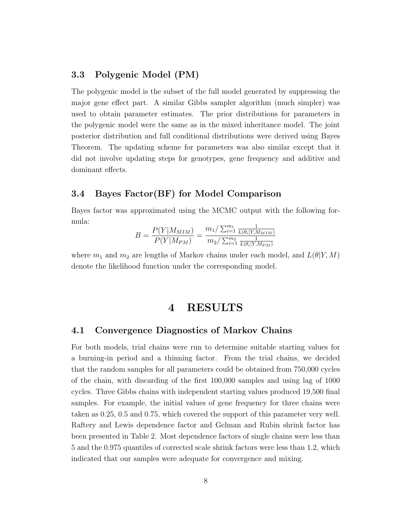### **3.3 Polygenic Model (PM)**

The polygenic model is the subset of the full model generated by suppressing the major gene effect part. A similar Gibbs sampler algorithm (much simpler) was used to obtain parameter estimates. The prior distributions for parameters in the polygenic model were the same as in the mixed inheritance model. The joint posterior distribution and full conditional distributions were derived using Bayes Theorem. The updating scheme for parameters was also similar except that it did not involve updating steps for genotypes, gene frequency and additive and dominant effects.

#### **3.4 Bayes Factor(BF) for Model Comparison**

Bayes factor was approximated using the MCMC output with the following formula:

$$
B = \frac{P(Y|M_{MIM})}{P(Y|M_{PM})} = \frac{m_1/\sum_{i=1}^{m_1} \frac{1}{L(\theta_i|Y,M_{MIM})}}{m_2/\sum_{i=1}^{m_2} \frac{1}{L(\theta_i|Y,M_{PM})}}
$$

where  $m_1$  and  $m_2$  are lengths of Markov chains under each model, and  $L(\theta|Y, M)$ denote the likelihood function under the corresponding model.

## **4 RESULTS**

#### **4.1 Convergence Diagnostics of Markov Chains**

For both models, trial chains were run to determine suitable starting values for a burning-in period and a thinning factor. From the trial chains, we decided that the random samples for all parameters could be obtained from 750,000 cycles of the chain, with discarding of the first 100,000 samples and using lag of 1000 cycles. Three Gibbs chains with independent starting values produced 19,500 final samples. For example, the initial values of gene frequency for three chains were taken as 0.25, 0.5 and 0.75, which covered the support of this parameter very well. Raftery and Lewis dependence factor and Gelman and Rubin shrink factor has been presented in Table 2. Most dependence factors of single chains were less than 5 and the 0.975 quantiles of corrected scale shrink factors were less than 1.2, which indicated that our samples were adequate for convergence and mixing.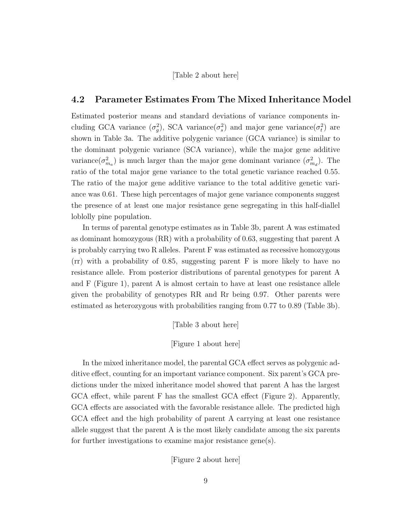[Table 2 about here]

#### **4.2 Parameter Estimates From The Mixed Inheritance Model**

Estimated posterior means and standard deviations of variance components including GCA variance  $(\sigma_g^2)$ , SCA variance  $(\sigma_s^2)$  and major gene variance  $(\sigma_t^2)$  are shown in Table 3a. The additive polygenic variance (GCA variance) is similar to the dominant polygenic variance (SCA variance), while the major gene additive variance  $(\sigma_{m_a}^2)$  is much larger than the major gene dominant variance  $(\sigma_{m_d}^2)$ . The ratio of the total major gene variance to the total genetic variance reached 0.55. The ratio of the major gene additive variance to the total additive genetic variance was 0.61. These high percentages of major gene variance components suggest the presence of at least one major resistance gene segregating in this half-diallel loblolly pine population.

In terms of parental genotype estimates as in Table 3b, parent A was estimated as dominant homozygous (RR) with a probability of 0.63, suggesting that parent A is probably carrying two R alleles. Parent F was estimated as recessive homozygous (rr) with a probability of 0.85, suggesting parent F is more likely to have no resistance allele. From posterior distributions of parental genotypes for parent A and F (Figure 1), parent A is almost certain to have at least one resistance allele given the probability of genotypes RR and Rr being 0.97. Other parents were estimated as heterozygous with probabilities ranging from 0.77 to 0.89 (Table 3b).

[Table 3 about here]

[Figure 1 about here]

In the mixed inheritance model, the parental GCA effect serves as polygenic additive effect, counting for an important variance component. Six parent's GCA predictions under the mixed inheritance model showed that parent A has the largest GCA effect, while parent F has the smallest GCA effect (Figure 2). Apparently, GCA effects are associated with the favorable resistance allele. The predicted high GCA effect and the high probability of parent A carrying at least one resistance allele suggest that the parent A is the most likely candidate among the six parents for further investigations to examine major resistance gene(s).

[Figure 2 about here]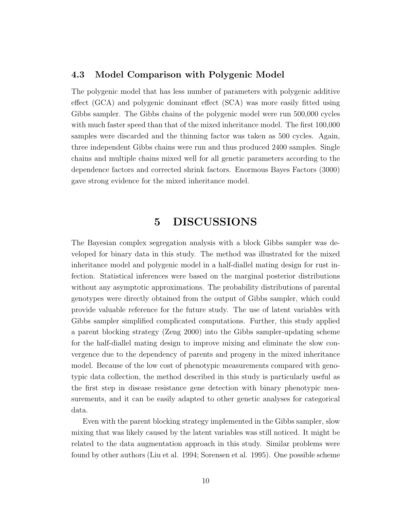#### **4.3 Model Comparison with Polygenic Model**

The polygenic model that has less number of parameters with polygenic additive effect (GCA) and polygenic dominant effect (SCA) was more easily fitted using Gibbs sampler. The Gibbs chains of the polygenic model were run 500,000 cycles with much faster speed than that of the mixed inheritance model. The first 100,000 samples were discarded and the thinning factor was taken as 500 cycles. Again, three independent Gibbs chains were run and thus produced 2400 samples. Single chains and multiple chains mixed well for all genetic parameters according to the dependence factors and corrected shrink factors. Enormous Bayes Factors (3000) gave strong evidence for the mixed inheritance model.

## **5 DISCUSSIONS**

The Bayesian complex segregation analysis with a block Gibbs sampler was developed for binary data in this study. The method was illustrated for the mixed inheritance model and polygenic model in a half-diallel mating design for rust infection. Statistical inferences were based on the marginal posterior distributions without any asymptotic approximations. The probability distributions of parental genotypes were directly obtained from the output of Gibbs sampler, which could provide valuable reference for the future study. The use of latent variables with Gibbs sampler simplified complicated computations. Further, this study applied a parent blocking strategy (Zeng 2000) into the Gibbs sampler-updating scheme for the half-diallel mating design to improve mixing and eliminate the slow convergence due to the dependency of parents and progeny in the mixed inheritance model. Because of the low cost of phenotypic measurements compared with genotypic data collection, the method described in this study is particularly useful as the first step in disease resistance gene detection with binary phenotypic measurements, and it can be easily adapted to other genetic analyses for categorical data.

Even with the parent blocking strategy implemented in the Gibbs sampler, slow mixing that was likely caused by the latent variables was still noticed. It might be related to the data augmentation approach in this study. Similar problems were found by other authors (Liu et al. 1994; Sorensen et al. 1995). One possible scheme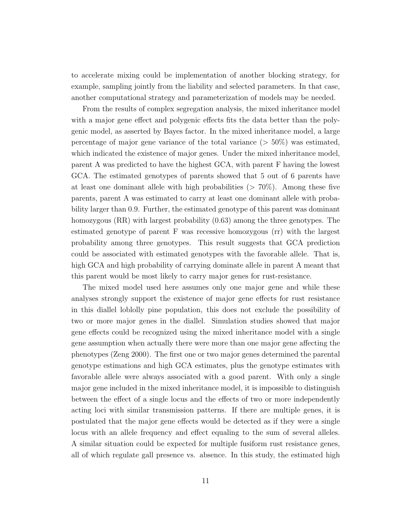to accelerate mixing could be implementation of another blocking strategy, for example, sampling jointly from the liability and selected parameters. In that case, another computational strategy and parameterization of models may be needed.

From the results of complex segregation analysis, the mixed inheritance model with a major gene effect and polygenic effects fits the data better than the polygenic model, as asserted by Bayes factor. In the mixed inheritance model, a large percentage of major gene variance of the total variance  $(> 50\%)$  was estimated, which indicated the existence of major genes. Under the mixed inheritance model, parent A was predicted to have the highest GCA, with parent F having the lowest GCA. The estimated genotypes of parents showed that 5 out of 6 parents have at least one dominant allele with high probabilities  $(> 70\%)$ . Among these five parents, parent A was estimated to carry at least one dominant allele with probability larger than 0.9. Further, the estimated genotype of this parent was dominant homozygous (RR) with largest probability (0.63) among the three genotypes. The estimated genotype of parent F was recessive homozygous (rr) with the largest probability among three genotypes. This result suggests that GCA prediction could be associated with estimated genotypes with the favorable allele. That is, high GCA and high probability of carrying dominate allele in parent A meant that this parent would be most likely to carry major genes for rust-resistance.

The mixed model used here assumes only one major gene and while these analyses strongly support the existence of major gene effects for rust resistance in this diallel loblolly pine population, this does not exclude the possibility of two or more major genes in the diallel. Simulation studies showed that major gene effects could be recognized using the mixed inheritance model with a single gene assumption when actually there were more than one major gene affecting the phenotypes (Zeng 2000). The first one or two major genes determined the parental genotype estimations and high GCA estimates, plus the genotype estimates with favorable allele were always associated with a good parent. With only a single major gene included in the mixed inheritance model, it is impossible to distinguish between the effect of a single locus and the effects of two or more independently acting loci with similar transmission patterns. If there are multiple genes, it is postulated that the major gene effects would be detected as if they were a single locus with an allele frequency and effect equaling to the sum of several alleles. A similar situation could be expected for multiple fusiform rust resistance genes, all of which regulate gall presence vs. absence. In this study, the estimated high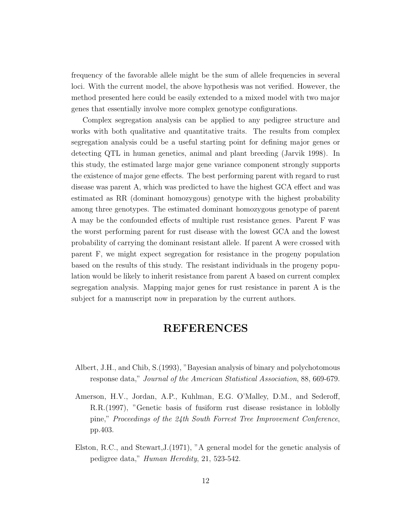frequency of the favorable allele might be the sum of allele frequencies in several loci. With the current model, the above hypothesis was not verified. However, the method presented here could be easily extended to a mixed model with two major genes that essentially involve more complex genotype configurations.

Complex segregation analysis can be applied to any pedigree structure and works with both qualitative and quantitative traits. The results from complex segregation analysis could be a useful starting point for defining major genes or detecting QTL in human genetics, animal and plant breeding (Jarvik 1998). In this study, the estimated large major gene variance component strongly supports the existence of major gene effects. The best performing parent with regard to rust disease was parent A, which was predicted to have the highest GCA effect and was estimated as RR (dominant homozygous) genotype with the highest probability among three genotypes. The estimated dominant homozygous genotype of parent A may be the confounded effects of multiple rust resistance genes. Parent F was the worst performing parent for rust disease with the lowest GCA and the lowest probability of carrying the dominant resistant allele. If parent A were crossed with parent F, we might expect segregation for resistance in the progeny population based on the results of this study. The resistant individuals in the progeny population would be likely to inherit resistance from parent A based on current complex segregation analysis. Mapping major genes for rust resistance in parent A is the subject for a manuscript now in preparation by the current authors.

## **REFERENCES**

- Albert, J.H., and Chib, S.(1993), "Bayesian analysis of binary and polychotomous response data," Journal of the American Statistical Association, 88, 669-679.
- Amerson, H.V., Jordan, A.P., Kuhlman, E.G. O'Malley, D.M., and Sederoff, R.R.(1997), "Genetic basis of fusiform rust disease resistance in loblolly pine," Proceedings of the 24th South Forrest Tree Improvement Conference, pp.403.
- Elston, R.C., and Stewart,J.(1971), "A general model for the genetic analysis of pedigree data," Human Heredity, 21, 523-542.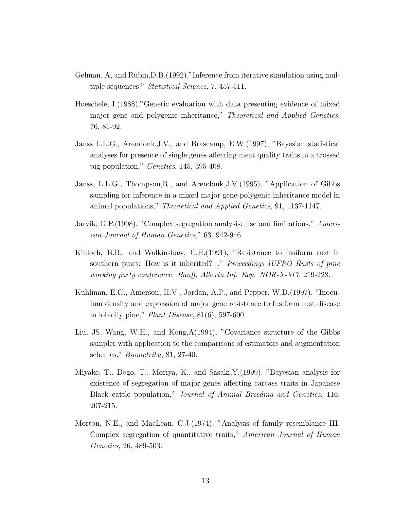- Gelman, A, and Rubin,D.B.(1992),"Inference from iterative simulation using multiple sequences." *Statistical Science*, 7, 457-511.
- Hoeschele, I.(1988),"Genetic evaluation with data presenting evidence of mixed major gene and polygenic inheritance," Theoretical and Applied Genetics, 76, 81-92.
- Janss L.L.G., Arendonk,J.V., and Brascamp, E.W.(1997), "Bayesian statistical analyses for presence of single genes affecting meat quality traits in a crossed pig population," Genetics, 145, 395-408.
- Janss, L.L.G., Thompson,R., and Arendonk,J.V.(1995), "Application of Gibbs sampling for inference in a mixed major gene-polygenic inheritance model in animal populations," Theoretical and Applied Genetics, 91, 1137-1147.
- Jarvik, G.P.(1998), "Complex segregation analysis: use and limitations," American Journal of Human Genetics," 63, 942-946.
- Kinloch, B.B., and Walkinshaw, C.H.(1991), "Resistance to fusiform rust in southern pines: How is it inherited? ," Proceedings IUFRO Rusts of pine working party conference. Banff, Alberta.Inf. Rep. NOR-X-317, 219-228.
- Kuhlman, E.G., Amerson, H.V., Jordan, A.P., and Pepper, W.D.(1997), "Inoculum density and expression of major gene resistance to fusiform rust disease in loblolly pine," Plant Disease, 81(6), 597-600.
- Liu, JS, Wang, W.H., and Kong,A(1994), "Covariance structure of the Gibbs sampler with application to the comparisons of estimators and augmentation schemes," Biometrika, 81, 27-40.
- Miyake, T., Dogo, T., Moriya, K., and Sasaki,Y.(1999), "Bayesian analysis for existence of segregation of major genes affecting carcass traits in Japanese Black cattle population," Journal of Animal Breeding and Genetics, 116, 207-215.
- Morton, N.E., and MacLean, C.J.(1974), "Analysis of family resemblance III. Complex segregation of quantitative traits," American Journal of Human Genetics, 26, 489-503.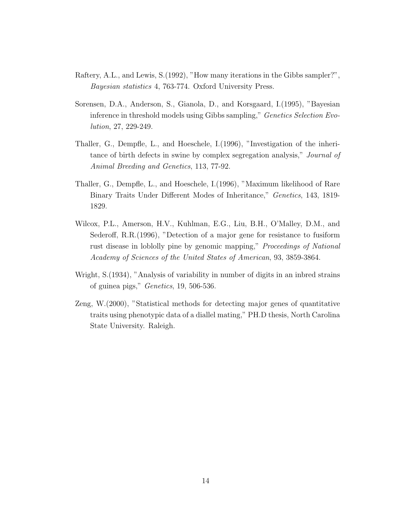- Raftery, A.L., and Lewis, S.(1992), "How many iterations in the Gibbs sampler?", Bayesian statistics 4, 763-774. Oxford University Press.
- Sorensen, D.A., Anderson, S., Gianola, D., and Korsgaard, I.(1995), "Bayesian inference in threshold models using Gibbs sampling," Genetics Selection Evolution, 27, 229-249.
- Thaller, G., Dempfle, L., and Hoeschele, I.(1996), "Investigation of the inheritance of birth defects in swine by complex segregation analysis," Journal of Animal Breeding and Genetics, 113, 77-92.
- Thaller, G., Dempfle, L., and Hoeschele, I.(1996), "Maximum likelihood of Rare Binary Traits Under Different Modes of Inheritance," Genetics, 143, 1819- 1829.
- Wilcox, P.L., Amerson, H.V., Kuhlman, E.G., Liu, B.H., O'Malley, D.M., and Sederoff, R.R.(1996), "Detection of a major gene for resistance to fusiform rust disease in loblolly pine by genomic mapping," *Proceedings of National* Academy of Sciences of the United States of American, 93, 3859-3864.
- Wright, S.(1934), "Analysis of variability in number of digits in an inbred strains of guinea pigs," Genetics, 19, 506-536.
- Zeng, W.(2000), "Statistical methods for detecting major genes of quantitative traits using phenotypic data of a diallel mating," PH.D thesis, North Carolina State University. Raleigh.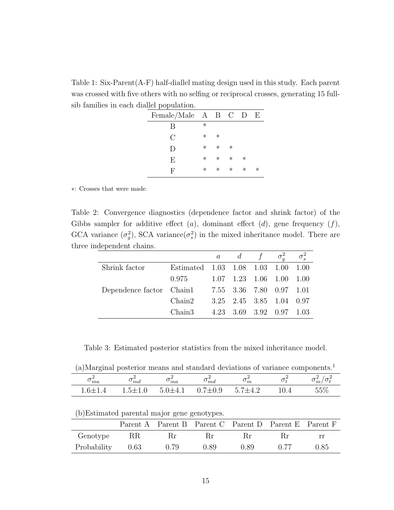Table 1: Six-Parent(A-F) half-diallel mating design used in this study. Each parent was crossed with five others with no selfing or reciprocal crosses, generating 15 fullsib families in each diallel population.

| Female/Male $A$ B C D |        |        |        |        | H       |
|-----------------------|--------|--------|--------|--------|---------|
| В                     | $\ast$ |        |        |        |         |
| $\mathcal{C}$         | $\ast$ | $\ast$ |        |        |         |
| D                     | $\ast$ | $\ast$ | $\ast$ |        |         |
| E                     | $\ast$ | $\ast$ | $\ast$ | $\ast$ |         |
| F                     | $\ast$ | $\ast$ | $\ast$ | $\ast$ | $^\ast$ |

∗: Crosses that were made.

Table 2: Convergence diagnostics (dependence factor and shrink factor) of the Gibbs sampler for additive effect  $(a)$ , dominant effect  $(d)$ , gene frequency  $(f)$ , GCA variance  $(\sigma_g^2)$ , SCA variance  $(\sigma_s^2)$  in the mixed inheritance model. There are three independent chains.

|                          |                               |  |                     | a d f $\sigma_a^2$                 | $\sigma_s^2$ |
|--------------------------|-------------------------------|--|---------------------|------------------------------------|--------------|
| Shrink factor            | Estimated 1.03 1.08 1.03 1.00 |  |                     |                                    | 1.00         |
|                          | 0.975                         |  |                     | $1.07$ $1.23$ $1.06$ $1.00$ $1.00$ |              |
| Dependence factor Chain1 |                               |  |                     | 7.55 3.36 7.80 0.97 1.01           |              |
|                          | Chain2                        |  |                     | 3.25 2.45 3.85 1.04 0.97           |              |
|                          | Chain3                        |  | 4.23 3.69 3.92 0.97 |                                    | - 1.03       |

Table 3: Estimated posterior statistics from the mixed inheritance model.

|  |  |  |  |  |  |  |  |  | (a)Marginal posterior means and standard deviations of variance components. <sup>1</sup> |  |
|--|--|--|--|--|--|--|--|--|------------------------------------------------------------------------------------------|--|
|--|--|--|--|--|--|--|--|--|------------------------------------------------------------------------------------------|--|

| $\rq{}$ $ma$          | $\circ$ md          | $\circ$ ma                         | ma                                | $\overline{m}$<br>ັ                                   | ີ    | m <sub>l</sub> |
|-----------------------|---------------------|------------------------------------|-----------------------------------|-------------------------------------------------------|------|----------------|
| $6+$<br>+ . J + + . + | $\sim$ $+$<br>— 1.V | $\cdot$ 1-1- $\cdot$ .<br>/⊥ I + ⊥ | $\Omega$<br>$-$<br>.v.v<br>ا ساده | $\overline{\phantom{0}}$<br>$\sqrt{2}$<br>. — 1<br>–⊷ | 10.4 | 5507<br>U∪ ∕ ∪ |

(b)Estimated parental major gene genotypes.

|             |      |      | Parent A Parent B Parent C Parent D Parent E Parent F |      |             |      |
|-------------|------|------|-------------------------------------------------------|------|-------------|------|
| Genotype    | RR.  | Кr   | Кr                                                    | Кr   | $_{\rm Br}$ | rr   |
| Probability | 0.63 | 0.79 | 0.89                                                  | 0.89 |             | 0.85 |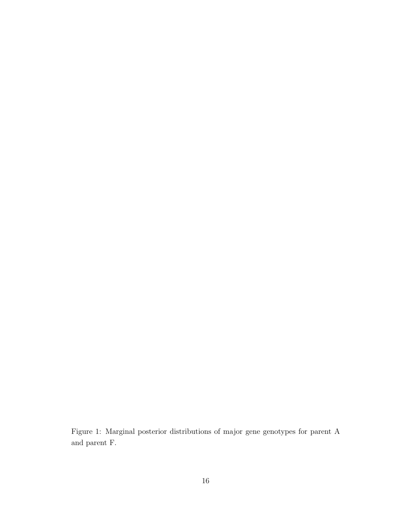Figure 1: Marginal posterior distributions of major gene genotypes for parent A and parent F.